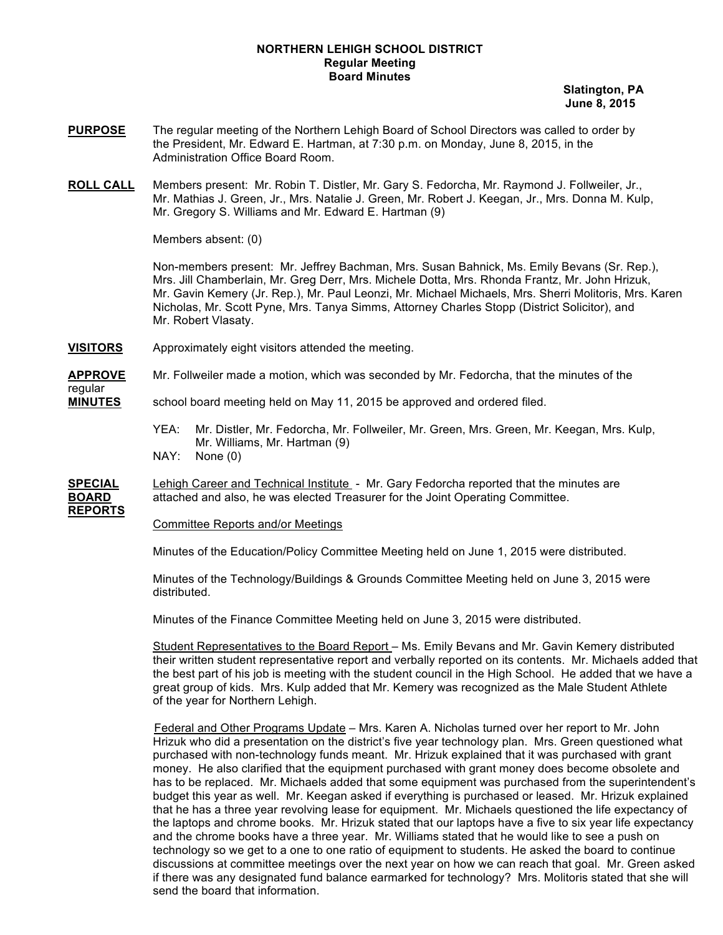### **NORTHERN LEHIGH SCHOOL DISTRICT Regular Meeting Board Minutes**

 **Slatington, PA June 8, 2015**

- **PURPOSE** The regular meeting of the Northern Lehigh Board of School Directors was called to order by the President, Mr. Edward E. Hartman, at 7:30 p.m. on Monday, June 8, 2015, in the Administration Office Board Room.
- **ROLL CALL** Members present: Mr. Robin T. Distler, Mr. Gary S. Fedorcha, Mr. Raymond J. Follweiler, Jr., Mr. Mathias J. Green, Jr., Mrs. Natalie J. Green, Mr. Robert J. Keegan, Jr., Mrs. Donna M. Kulp, Mr. Gregory S. Williams and Mr. Edward E. Hartman (9)

Members absent: (0)

regular

**REPORTS**

Non-members present: Mr. Jeffrey Bachman, Mrs. Susan Bahnick, Ms. Emily Bevans (Sr. Rep.), Mrs. Jill Chamberlain, Mr. Greg Derr, Mrs. Michele Dotta, Mrs. Rhonda Frantz, Mr. John Hrizuk, Mr. Gavin Kemery (Jr. Rep.), Mr. Paul Leonzi, Mr. Michael Michaels, Mrs. Sherri Molitoris, Mrs. Karen Nicholas, Mr. Scott Pyne, Mrs. Tanya Simms, Attorney Charles Stopp (District Solicitor), and Mr. Robert Vlasaty.

**VISITORS** Approximately eight visitors attended the meeting.

**APPROVE** Mr. Follweiler made a motion, which was seconded by Mr. Fedorcha, that the minutes of the

**MINUTES** school board meeting held on May 11, 2015 be approved and ordered filed.

- YEA: Mr. Distler, Mr. Fedorcha, Mr. Follweiler, Mr. Green, Mrs. Green, Mr. Keegan, Mrs. Kulp, Mr. Williams, Mr. Hartman (9) NAY: None (0)
- 

**SPECIAL** Lehigh Career and Technical Institute - Mr. Gary Fedorcha reported that the minutes are **BOARD** attached and also, he was elected Treasurer for the Joint Operating Committee.

Committee Reports and/or Meetings

Minutes of the Education/Policy Committee Meeting held on June 1, 2015 were distributed.

Minutes of the Technology/Buildings & Grounds Committee Meeting held on June 3, 2015 were distributed.

Minutes of the Finance Committee Meeting held on June 3, 2015 were distributed.

Student Representatives to the Board Report – Ms. Emily Bevans and Mr. Gavin Kemery distributed their written student representative report and verbally reported on its contents. Mr. Michaels added that the best part of his job is meeting with the student council in the High School. He added that we have a great group of kids. Mrs. Kulp added that Mr. Kemery was recognized as the Male Student Athlete of the year for Northern Lehigh.

 Federal and Other Programs Update – Mrs. Karen A. Nicholas turned over her report to Mr. John Hrizuk who did a presentation on the district's five year technology plan. Mrs. Green questioned what purchased with non-technology funds meant. Mr. Hrizuk explained that it was purchased with grant money. He also clarified that the equipment purchased with grant money does become obsolete and has to be replaced. Mr. Michaels added that some equipment was purchased from the superintendent's budget this year as well. Mr. Keegan asked if everything is purchased or leased. Mr. Hrizuk explained that he has a three year revolving lease for equipment. Mr. Michaels questioned the life expectancy of the laptops and chrome books. Mr. Hrizuk stated that our laptops have a five to six year life expectancy and the chrome books have a three year. Mr. Williams stated that he would like to see a push on technology so we get to a one to one ratio of equipment to students. He asked the board to continue discussions at committee meetings over the next year on how we can reach that goal. Mr. Green asked if there was any designated fund balance earmarked for technology? Mrs. Molitoris stated that she will send the board that information.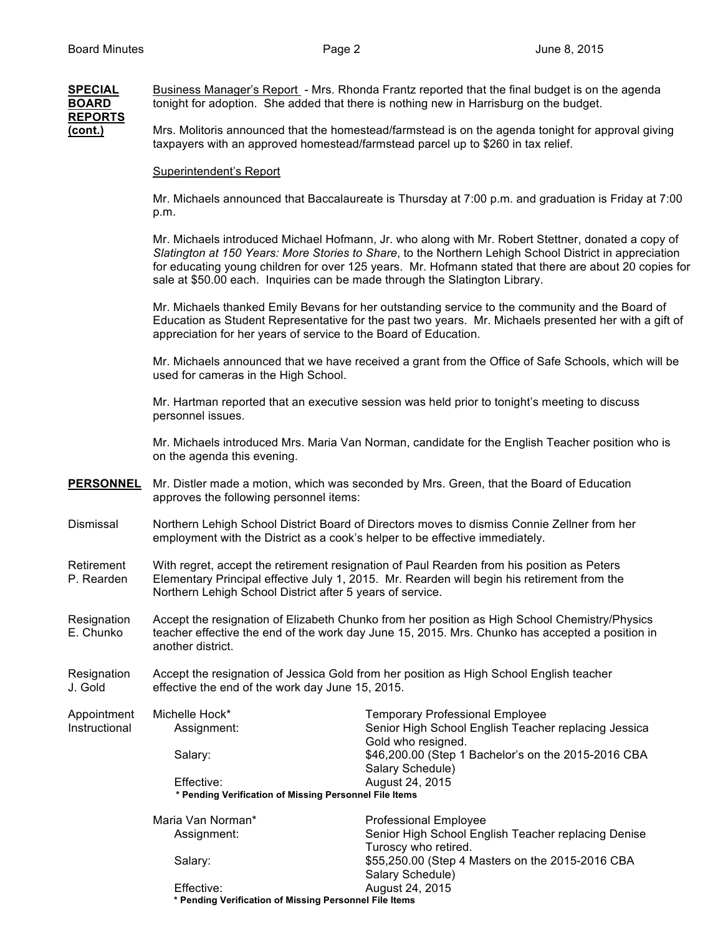### **SPECIAL** Business Manager's Report - Mrs. Rhonda Frantz reported that the final budget is on the agenda **BOARD** tonight for adoption. She added that there is nothing new in Harrisburg on the budget. **REPORTS (cont.)** Mrs. Molitoris announced that the homestead/farmstead is on the agenda tonight for approval giving taxpayers with an approved homestead/farmstead parcel up to \$260 in tax relief.

#### Superintendent's Report

Mr. Michaels announced that Baccalaureate is Thursday at 7:00 p.m. and graduation is Friday at 7:00 p.m.

Mr. Michaels introduced Michael Hofmann, Jr. who along with Mr. Robert Stettner, donated a copy of *Slatington at 150 Years: More Stories to Share*, to the Northern Lehigh School District in appreciation for educating young children for over 125 years. Mr. Hofmann stated that there are about 20 copies for sale at \$50.00 each. Inquiries can be made through the Slatington Library.

Mr. Michaels thanked Emily Bevans for her outstanding service to the community and the Board of Education as Student Representative for the past two years. Mr. Michaels presented her with a gift of appreciation for her years of service to the Board of Education.

Mr. Michaels announced that we have received a grant from the Office of Safe Schools, which will be used for cameras in the High School.

Mr. Hartman reported that an executive session was held prior to tonight's meeting to discuss personnel issues.

Mr. Michaels introduced Mrs. Maria Van Norman, candidate for the English Teacher position who is on the agenda this evening.

- **PERSONNEL** Mr. Distler made a motion, which was seconded by Mrs. Green, that the Board of Education approves the following personnel items:
- Dismissal Northern Lehigh School District Board of Directors moves to dismiss Connie Zellner from her employment with the District as a cook's helper to be effective immediately.

Retirement With regret, accept the retirement resignation of Paul Rearden from his position as Peters<br>P. Rearden Elementary Principal effective July 1, 2015. Mr. Rearden will begin his retirement from the Elementary Principal effective July 1, 2015. Mr. Rearden will begin his retirement from the Northern Lehigh School District after 5 years of service.

Resignation Accept the resignation of Elizabeth Chunko from her position as High School Chemistry/Physics E. Chunko teacher effective the end of the work day June 15, 2015. Mrs. Chunko has accepted a position in another district.

Resignation Accept the resignation of Jessica Gold from her position as High School English teacher J. Gold effective the end of the work day June 15, 2015.

Appointment Michelle Hock\* Temporary Professional Employee<br>
Instructional Michelle Assignment: Senior High School English Teache Instructional Assignment: Senior High School English Teacher replacing Jessica Gold who resigned. Salary:  $$46,200.00$  (Step 1 Bachelor's on the 2015-2016 CBA Salary Schedule) Effective: August 24, 2015  **\* Pending Verification of Missing Personnel File Items** Maria Van Norman\* Professional Employee

| Maria van Norman <sup>®</sup>                          | Professional Employee                               |
|--------------------------------------------------------|-----------------------------------------------------|
| Assignment:                                            | Senior High School English Teacher replacing Denise |
|                                                        | Turoscy who retired.                                |
| Salary:                                                | \$55,250.00 (Step 4 Masters on the 2015-2016 CBA    |
|                                                        | Salary Schedule)                                    |
| Effective:                                             | August 24, 2015                                     |
| * Pending Verification of Missing Personnel File Items |                                                     |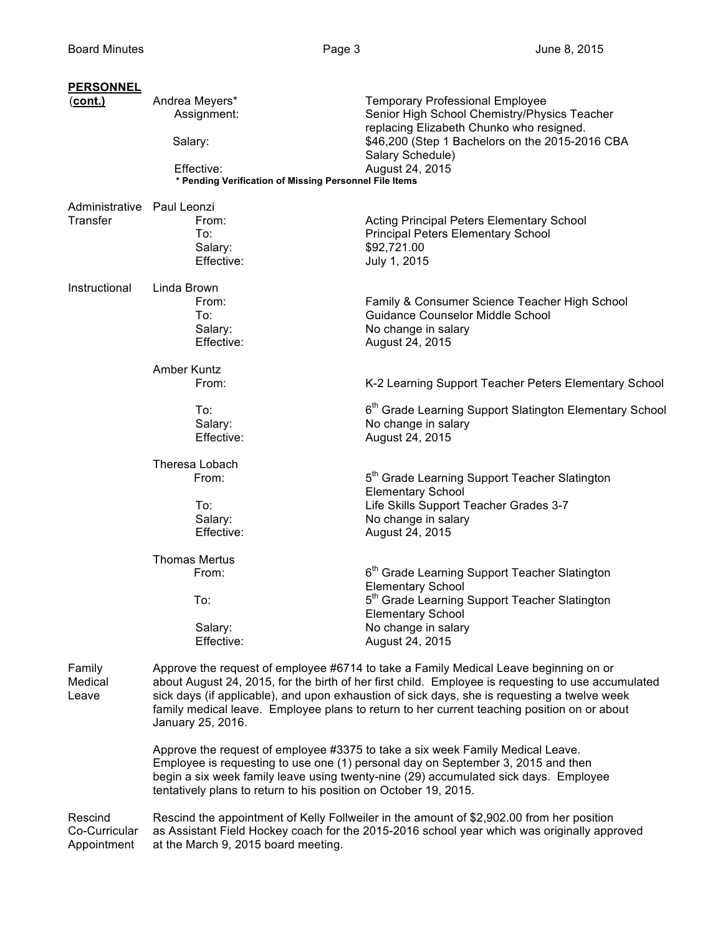| <b>PERSONNEL</b>           |                                                                                                                                                                                                                                                                                                                                                                                                                |                                                                                                                                                                                                                                                            |  |
|----------------------------|----------------------------------------------------------------------------------------------------------------------------------------------------------------------------------------------------------------------------------------------------------------------------------------------------------------------------------------------------------------------------------------------------------------|------------------------------------------------------------------------------------------------------------------------------------------------------------------------------------------------------------------------------------------------------------|--|
| $(cont.)$                  | Andrea Meyers*<br>Assignment:                                                                                                                                                                                                                                                                                                                                                                                  | <b>Temporary Professional Employee</b><br>Senior High School Chemistry/Physics Teacher<br>replacing Elizabeth Chunko who resigned.                                                                                                                         |  |
|                            | Salary:                                                                                                                                                                                                                                                                                                                                                                                                        | \$46,200 (Step 1 Bachelors on the 2015-2016 CBA<br>Salary Schedule)                                                                                                                                                                                        |  |
|                            | Effective:<br>* Pending Verification of Missing Personnel File Items                                                                                                                                                                                                                                                                                                                                           | August 24, 2015                                                                                                                                                                                                                                            |  |
| Administrative Paul Leonzi |                                                                                                                                                                                                                                                                                                                                                                                                                |                                                                                                                                                                                                                                                            |  |
| Transfer                   | From:<br>To:                                                                                                                                                                                                                                                                                                                                                                                                   | Acting Principal Peters Elementary School<br><b>Principal Peters Elementary School</b>                                                                                                                                                                     |  |
|                            | Salary:                                                                                                                                                                                                                                                                                                                                                                                                        | \$92,721.00                                                                                                                                                                                                                                                |  |
|                            | Effective:                                                                                                                                                                                                                                                                                                                                                                                                     | July 1, 2015                                                                                                                                                                                                                                               |  |
| Instructional              | Linda Brown                                                                                                                                                                                                                                                                                                                                                                                                    |                                                                                                                                                                                                                                                            |  |
|                            | From:                                                                                                                                                                                                                                                                                                                                                                                                          | Family & Consumer Science Teacher High School<br><b>Guidance Counselor Middle School</b>                                                                                                                                                                   |  |
|                            | To:<br>Salary:                                                                                                                                                                                                                                                                                                                                                                                                 | No change in salary                                                                                                                                                                                                                                        |  |
|                            | Effective:                                                                                                                                                                                                                                                                                                                                                                                                     | August 24, 2015                                                                                                                                                                                                                                            |  |
|                            | Amber Kuntz                                                                                                                                                                                                                                                                                                                                                                                                    |                                                                                                                                                                                                                                                            |  |
|                            | From:                                                                                                                                                                                                                                                                                                                                                                                                          | K-2 Learning Support Teacher Peters Elementary School                                                                                                                                                                                                      |  |
|                            | To:                                                                                                                                                                                                                                                                                                                                                                                                            | 6 <sup>th</sup> Grade Learning Support Slatington Elementary School                                                                                                                                                                                        |  |
|                            | Salary:                                                                                                                                                                                                                                                                                                                                                                                                        | No change in salary                                                                                                                                                                                                                                        |  |
|                            | Effective:                                                                                                                                                                                                                                                                                                                                                                                                     | August 24, 2015                                                                                                                                                                                                                                            |  |
|                            | Theresa Lobach                                                                                                                                                                                                                                                                                                                                                                                                 |                                                                                                                                                                                                                                                            |  |
|                            | From:                                                                                                                                                                                                                                                                                                                                                                                                          | 5 <sup>th</sup> Grade Learning Support Teacher Slatington<br><b>Elementary School</b>                                                                                                                                                                      |  |
|                            | To:                                                                                                                                                                                                                                                                                                                                                                                                            | Life Skills Support Teacher Grades 3-7                                                                                                                                                                                                                     |  |
|                            | Salary:                                                                                                                                                                                                                                                                                                                                                                                                        | No change in salary                                                                                                                                                                                                                                        |  |
|                            | Effective:                                                                                                                                                                                                                                                                                                                                                                                                     | August 24, 2015                                                                                                                                                                                                                                            |  |
|                            | <b>Thomas Mertus</b>                                                                                                                                                                                                                                                                                                                                                                                           |                                                                                                                                                                                                                                                            |  |
|                            | From:                                                                                                                                                                                                                                                                                                                                                                                                          | 6 <sup>th</sup> Grade Learning Support Teacher Slatington<br><b>Elementary School</b>                                                                                                                                                                      |  |
|                            | To:                                                                                                                                                                                                                                                                                                                                                                                                            | 5 <sup>th</sup> Grade Learning Support Teacher Slatington                                                                                                                                                                                                  |  |
|                            |                                                                                                                                                                                                                                                                                                                                                                                                                | <b>Elementary School</b>                                                                                                                                                                                                                                   |  |
|                            | Salary:                                                                                                                                                                                                                                                                                                                                                                                                        | No change in salary                                                                                                                                                                                                                                        |  |
|                            | Effective:                                                                                                                                                                                                                                                                                                                                                                                                     | August 24, 2015                                                                                                                                                                                                                                            |  |
| Family<br>Medical<br>Leave | Approve the request of employee #6714 to take a Family Medical Leave beginning on or<br>about August 24, 2015, for the birth of her first child. Employee is requesting to use accumulated<br>sick days (if applicable), and upon exhaustion of sick days, she is requesting a twelve week<br>family medical leave. Employee plans to return to her current teaching position on or about<br>January 25, 2016. |                                                                                                                                                                                                                                                            |  |
|                            | tentatively plans to return to his position on October 19, 2015.                                                                                                                                                                                                                                                                                                                                               | Approve the request of employee #3375 to take a six week Family Medical Leave.<br>Employee is requesting to use one (1) personal day on September 3, 2015 and then<br>begin a six week family leave using twenty-nine (29) accumulated sick days. Employee |  |
| Rescind<br>Co-Curricular   |                                                                                                                                                                                                                                                                                                                                                                                                                | Rescind the appointment of Kelly Follweiler in the amount of \$2,902.00 from her position<br>as Assistant Field Hockey coach for the 2015-2016 school year which was originally approved                                                                   |  |

Appointment at the March 9, 2015 board meeting.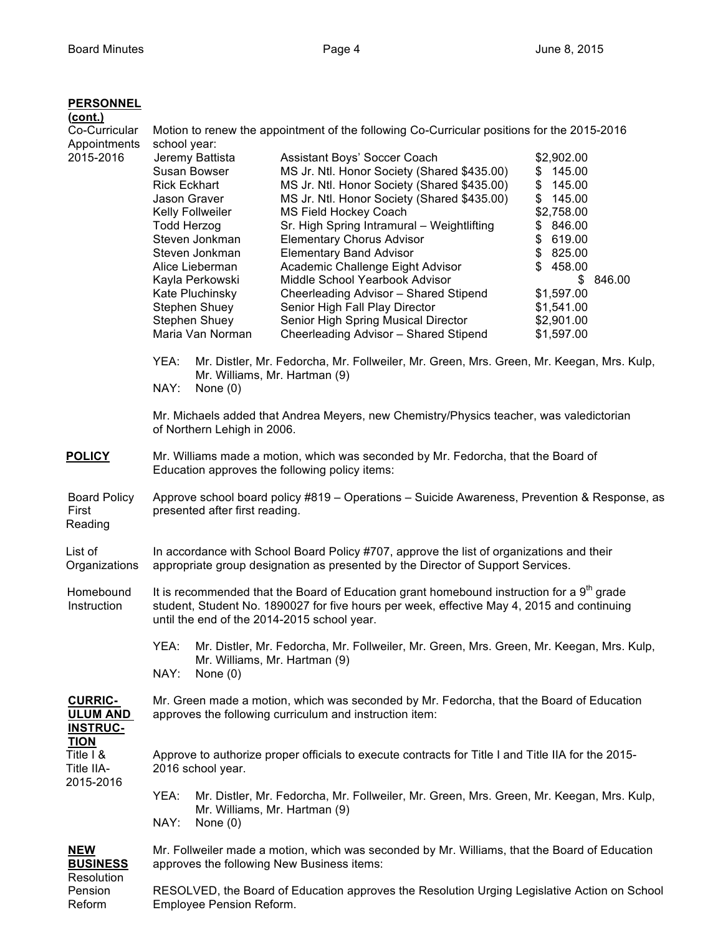| <b>PERSONNEL</b><br>(cont.)<br>Co-Curricular<br>Appointments<br>2015-2016                                   | Motion to renew the appointment of the following Co-Curricular positions for the 2015-2016<br>school year:<br>Jeremy Battista<br>Assistant Boys' Soccer Coach<br>\$2,902.00<br>Susan Bowser<br>MS Jr. Ntl. Honor Society (Shared \$435.00)<br>\$145.00<br><b>Rick Eckhart</b><br>MS Jr. Ntl. Honor Society (Shared \$435.00)<br>\$<br>145.00<br>\$<br>Jason Graver<br>MS Jr. Ntl. Honor Society (Shared \$435.00)<br>145.00<br>Kelly Follweiler<br>MS Field Hockey Coach<br>\$2,758.00<br><b>Todd Herzog</b><br>Sr. High Spring Intramural - Weightlifting<br>\$846.00<br>Steven Jonkman<br><b>Elementary Chorus Advisor</b><br>\$619.00<br>\$825.00<br>Steven Jonkman<br><b>Elementary Band Advisor</b><br>Academic Challenge Eight Advisor<br>\$458.00<br>Alice Lieberman<br>Kayla Perkowski<br>Middle School Yearbook Advisor<br>\$<br>\$1,597.00<br>Kate Pluchinsky<br>Cheerleading Advisor - Shared Stipend<br>Stephen Shuey<br>Senior High Fall Play Director<br>\$1,541.00<br>Stephen Shuey<br>Senior High Spring Musical Director<br>\$2,901.00<br>Maria Van Norman<br>Cheerleading Advisor - Shared Stipend<br>\$1,597.00 | 846.00 |  |  |
|-------------------------------------------------------------------------------------------------------------|------------------------------------------------------------------------------------------------------------------------------------------------------------------------------------------------------------------------------------------------------------------------------------------------------------------------------------------------------------------------------------------------------------------------------------------------------------------------------------------------------------------------------------------------------------------------------------------------------------------------------------------------------------------------------------------------------------------------------------------------------------------------------------------------------------------------------------------------------------------------------------------------------------------------------------------------------------------------------------------------------------------------------------------------------------------------------------------------------------------------------------|--------|--|--|
|                                                                                                             | YEA:<br>Mr. Distler, Mr. Fedorcha, Mr. Follweiler, Mr. Green, Mrs. Green, Mr. Keegan, Mrs. Kulp,<br>Mr. Williams, Mr. Hartman (9)<br>NAY:<br>None $(0)$                                                                                                                                                                                                                                                                                                                                                                                                                                                                                                                                                                                                                                                                                                                                                                                                                                                                                                                                                                            |        |  |  |
|                                                                                                             | Mr. Michaels added that Andrea Meyers, new Chemistry/Physics teacher, was valedictorian<br>of Northern Lehigh in 2006.                                                                                                                                                                                                                                                                                                                                                                                                                                                                                                                                                                                                                                                                                                                                                                                                                                                                                                                                                                                                             |        |  |  |
| <b>POLICY</b>                                                                                               | Mr. Williams made a motion, which was seconded by Mr. Fedorcha, that the Board of<br>Education approves the following policy items:                                                                                                                                                                                                                                                                                                                                                                                                                                                                                                                                                                                                                                                                                                                                                                                                                                                                                                                                                                                                |        |  |  |
| <b>Board Policy</b><br>First<br>Reading                                                                     | Approve school board policy #819 - Operations - Suicide Awareness, Prevention & Response, as<br>presented after first reading.                                                                                                                                                                                                                                                                                                                                                                                                                                                                                                                                                                                                                                                                                                                                                                                                                                                                                                                                                                                                     |        |  |  |
| List of<br>Organizations                                                                                    | In accordance with School Board Policy #707, approve the list of organizations and their<br>appropriate group designation as presented by the Director of Support Services.                                                                                                                                                                                                                                                                                                                                                                                                                                                                                                                                                                                                                                                                                                                                                                                                                                                                                                                                                        |        |  |  |
| Homebound<br>Instruction                                                                                    | It is recommended that the Board of Education grant homebound instruction for a $9th$ grade<br>student, Student No. 1890027 for five hours per week, effective May 4, 2015 and continuing<br>until the end of the 2014-2015 school year.                                                                                                                                                                                                                                                                                                                                                                                                                                                                                                                                                                                                                                                                                                                                                                                                                                                                                           |        |  |  |
|                                                                                                             | YEA:<br>Mr. Distler, Mr. Fedorcha, Mr. Follweiler, Mr. Green, Mrs. Green, Mr. Keegan, Mrs. Kulp,<br>Mr. Williams, Mr. Hartman (9)<br>NAY:<br>None $(0)$                                                                                                                                                                                                                                                                                                                                                                                                                                                                                                                                                                                                                                                                                                                                                                                                                                                                                                                                                                            |        |  |  |
| <b>CURRIC-</b><br><b>ULUM AND</b><br><b>INSTRUC-</b><br><b>TION</b><br>Title I &<br>Title IIA-<br>2015-2016 | Mr. Green made a motion, which was seconded by Mr. Fedorcha, that the Board of Education<br>approves the following curriculum and instruction item:                                                                                                                                                                                                                                                                                                                                                                                                                                                                                                                                                                                                                                                                                                                                                                                                                                                                                                                                                                                |        |  |  |
|                                                                                                             | Approve to authorize proper officials to execute contracts for Title I and Title IIA for the 2015-<br>2016 school year.                                                                                                                                                                                                                                                                                                                                                                                                                                                                                                                                                                                                                                                                                                                                                                                                                                                                                                                                                                                                            |        |  |  |
|                                                                                                             | YEA:<br>Mr. Distler, Mr. Fedorcha, Mr. Follweiler, Mr. Green, Mrs. Green, Mr. Keegan, Mrs. Kulp,<br>Mr. Williams, Mr. Hartman (9)<br>NAY:<br>None $(0)$                                                                                                                                                                                                                                                                                                                                                                                                                                                                                                                                                                                                                                                                                                                                                                                                                                                                                                                                                                            |        |  |  |
| <b>NEW</b><br><b>BUSINESS</b>                                                                               | Mr. Follweiler made a motion, which was seconded by Mr. Williams, that the Board of Education<br>approves the following New Business items:                                                                                                                                                                                                                                                                                                                                                                                                                                                                                                                                                                                                                                                                                                                                                                                                                                                                                                                                                                                        |        |  |  |
| Resolution<br>Pension<br>Reform                                                                             | RESOLVED, the Board of Education approves the Resolution Urging Legislative Action on School<br>Employee Pension Reform.                                                                                                                                                                                                                                                                                                                                                                                                                                                                                                                                                                                                                                                                                                                                                                                                                                                                                                                                                                                                           |        |  |  |

Employee Pension Reform.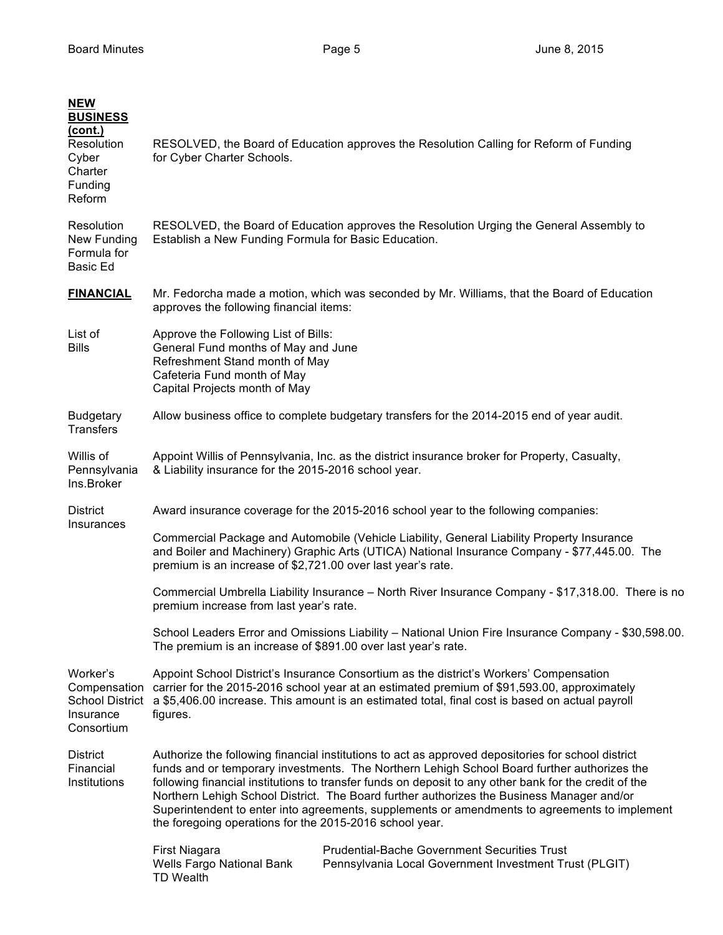| <b>NEW</b><br><b>BUSINESS</b><br><u>(cont.)</u><br>Resolution<br>Cyber<br>Charter<br>Funding<br>Reform | RESOLVED, the Board of Education approves the Resolution Calling for Reform of Funding<br>for Cyber Charter Schools.                                                                                                                                                                                                                                                                                                                                                                                                                                                |  |  |
|--------------------------------------------------------------------------------------------------------|---------------------------------------------------------------------------------------------------------------------------------------------------------------------------------------------------------------------------------------------------------------------------------------------------------------------------------------------------------------------------------------------------------------------------------------------------------------------------------------------------------------------------------------------------------------------|--|--|
| Resolution<br>New Funding<br>Formula for<br>Basic Ed                                                   | RESOLVED, the Board of Education approves the Resolution Urging the General Assembly to<br>Establish a New Funding Formula for Basic Education.                                                                                                                                                                                                                                                                                                                                                                                                                     |  |  |
| <b>FINANCIAL</b>                                                                                       | Mr. Fedorcha made a motion, which was seconded by Mr. Williams, that the Board of Education<br>approves the following financial items:                                                                                                                                                                                                                                                                                                                                                                                                                              |  |  |
| List of<br><b>Bills</b>                                                                                | Approve the Following List of Bills:<br>General Fund months of May and June<br>Refreshment Stand month of May<br>Cafeteria Fund month of May<br>Capital Projects month of May                                                                                                                                                                                                                                                                                                                                                                                       |  |  |
| <b>Budgetary</b><br><b>Transfers</b>                                                                   | Allow business office to complete budgetary transfers for the 2014-2015 end of year audit.                                                                                                                                                                                                                                                                                                                                                                                                                                                                          |  |  |
| Willis of<br>Pennsylvania<br>Ins.Broker                                                                | Appoint Willis of Pennsylvania, Inc. as the district insurance broker for Property, Casualty,<br>& Liability insurance for the 2015-2016 school year.                                                                                                                                                                                                                                                                                                                                                                                                               |  |  |
| <b>District</b>                                                                                        | Award insurance coverage for the 2015-2016 school year to the following companies:                                                                                                                                                                                                                                                                                                                                                                                                                                                                                  |  |  |
| Insurances                                                                                             | Commercial Package and Automobile (Vehicle Liability, General Liability Property Insurance<br>and Boiler and Machinery) Graphic Arts (UTICA) National Insurance Company - \$77,445.00. The<br>premium is an increase of \$2,721.00 over last year's rate.                                                                                                                                                                                                                                                                                                           |  |  |
|                                                                                                        | Commercial Umbrella Liability Insurance - North River Insurance Company - \$17,318.00. There is no<br>premium increase from last year's rate.                                                                                                                                                                                                                                                                                                                                                                                                                       |  |  |
|                                                                                                        | School Leaders Error and Omissions Liability - National Union Fire Insurance Company - \$30,598.00.<br>The premium is an increase of \$891.00 over last year's rate.                                                                                                                                                                                                                                                                                                                                                                                                |  |  |
| Worker's<br>Compensation<br><b>School District</b><br>Insurance<br>Consortium                          | Appoint School District's Insurance Consortium as the district's Workers' Compensation<br>carrier for the 2015-2016 school year at an estimated premium of \$91,593.00, approximately<br>a \$5,406.00 increase. This amount is an estimated total, final cost is based on actual payroll<br>figures.                                                                                                                                                                                                                                                                |  |  |
| <b>District</b><br>Financial<br>Institutions                                                           | Authorize the following financial institutions to act as approved depositories for school district<br>funds and or temporary investments. The Northern Lehigh School Board further authorizes the<br>following financial institutions to transfer funds on deposit to any other bank for the credit of the<br>Northern Lehigh School District. The Board further authorizes the Business Manager and/or<br>Superintendent to enter into agreements, supplements or amendments to agreements to implement<br>the foregoing operations for the 2015-2016 school year. |  |  |
|                                                                                                        | <b>Prudential-Bache Government Securities Trust</b><br><b>First Niagara</b><br>Wells Fargo National Bank<br>Pennsylvania Local Government Investment Trust (PLGIT)<br><b>TD Wealth</b>                                                                                                                                                                                                                                                                                                                                                                              |  |  |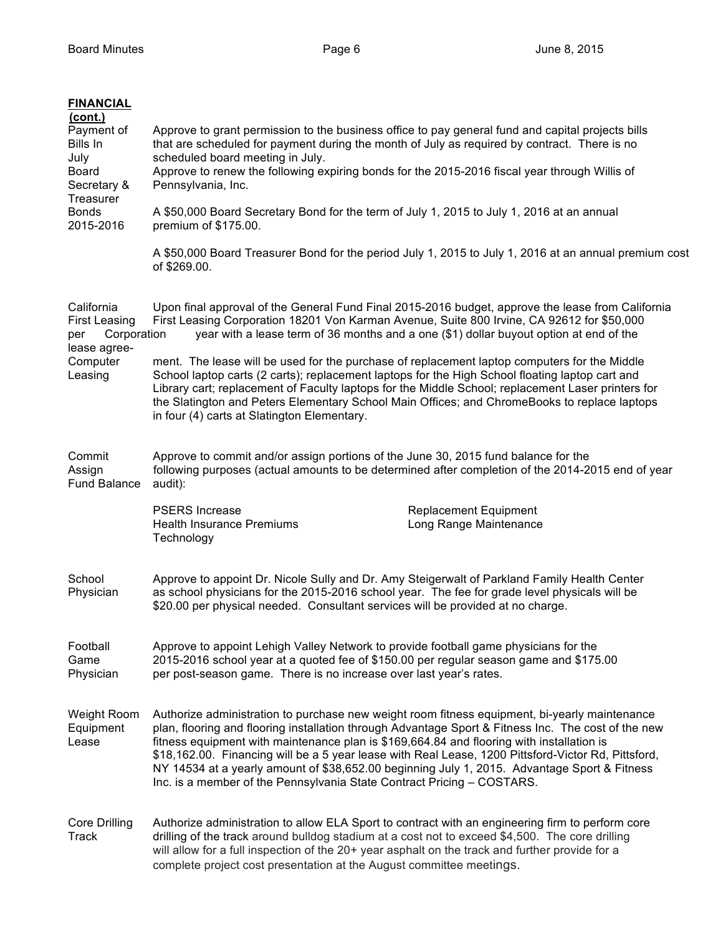| <b>FINANCIAL</b><br>(cont.)<br>Payment of<br>Bills In<br>July<br><b>Board</b><br>Secretary &<br>Treasurer<br><b>Bonds</b><br>2015-2016 | Approve to grant permission to the business office to pay general fund and capital projects bills<br>that are scheduled for payment during the month of July as required by contract. There is no<br>scheduled board meeting in July.<br>Approve to renew the following expiring bonds for the 2015-2016 fiscal year through Willis of<br>Pennsylvania, Inc.<br>A \$50,000 Board Secretary Bond for the term of July 1, 2015 to July 1, 2016 at an annual<br>premium of \$175.00.<br>A \$50,000 Board Treasurer Bond for the period July 1, 2015 to July 1, 2016 at an annual premium cost<br>of \$269.00. |
|----------------------------------------------------------------------------------------------------------------------------------------|------------------------------------------------------------------------------------------------------------------------------------------------------------------------------------------------------------------------------------------------------------------------------------------------------------------------------------------------------------------------------------------------------------------------------------------------------------------------------------------------------------------------------------------------------------------------------------------------------------|
| California<br><b>First Leasing</b><br>Corporation<br>per<br>lease agree-                                                               | Upon final approval of the General Fund Final 2015-2016 budget, approve the lease from California<br>First Leasing Corporation 18201 Von Karman Avenue, Suite 800 Irvine, CA 92612 for \$50,000<br>year with a lease term of 36 months and a one (\$1) dollar buyout option at end of the                                                                                                                                                                                                                                                                                                                  |
| Computer<br>Leasing                                                                                                                    | ment. The lease will be used for the purchase of replacement laptop computers for the Middle<br>School laptop carts (2 carts); replacement laptops for the High School floating laptop cart and<br>Library cart; replacement of Faculty laptops for the Middle School; replacement Laser printers for<br>the Slatington and Peters Elementary School Main Offices; and ChromeBooks to replace laptops<br>in four (4) carts at Slatington Elementary.                                                                                                                                                       |
| Commit<br>Assign<br><b>Fund Balance</b>                                                                                                | Approve to commit and/or assign portions of the June 30, 2015 fund balance for the<br>following purposes (actual amounts to be determined after completion of the 2014-2015 end of year<br>audit):                                                                                                                                                                                                                                                                                                                                                                                                         |
|                                                                                                                                        | <b>PSERS</b> Increase<br><b>Replacement Equipment</b><br>Long Range Maintenance<br><b>Health Insurance Premiums</b><br>Technology                                                                                                                                                                                                                                                                                                                                                                                                                                                                          |
| School<br>Physician                                                                                                                    | Approve to appoint Dr. Nicole Sully and Dr. Amy Steigerwalt of Parkland Family Health Center<br>as school physicians for the 2015-2016 school year. The fee for grade level physicals will be<br>\$20.00 per physical needed. Consultant services will be provided at no charge.                                                                                                                                                                                                                                                                                                                           |
| Football<br>Game<br>Physician                                                                                                          | Approve to appoint Lehigh Valley Network to provide football game physicians for the<br>2015-2016 school year at a quoted fee of \$150.00 per regular season game and \$175.00<br>per post-season game. There is no increase over last year's rates.                                                                                                                                                                                                                                                                                                                                                       |
| Weight Room<br>Equipment<br>Lease                                                                                                      | Authorize administration to purchase new weight room fitness equipment, bi-yearly maintenance<br>plan, flooring and flooring installation through Advantage Sport & Fitness Inc. The cost of the new<br>fitness equipment with maintenance plan is \$169,664.84 and flooring with installation is<br>\$18,162.00. Financing will be a 5 year lease with Real Lease, 1200 Pittsford-Victor Rd, Pittsford,<br>NY 14534 at a yearly amount of \$38,652.00 beginning July 1, 2015. Advantage Sport & Fitness<br>Inc. is a member of the Pennsylvania State Contract Pricing - COSTARS.                         |
| <b>Core Drilling</b><br>Track                                                                                                          | Authorize administration to allow ELA Sport to contract with an engineering firm to perform core<br>drilling of the track around bulldog stadium at a cost not to exceed \$4,500. The core drilling<br>will allow for a full inspection of the 20+ year asphalt on the track and further provide for a<br>complete project cost presentation at the August committee meetings.                                                                                                                                                                                                                             |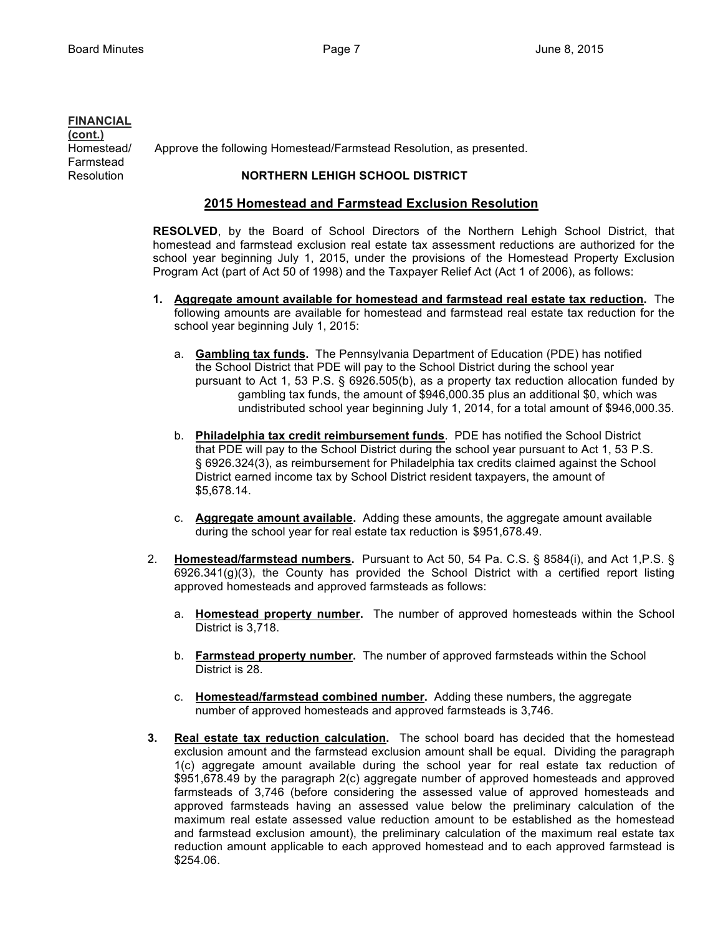## **FINANCIAL**

**(cont.)** Farmstead

Homestead/ Approve the following Homestead/Farmstead Resolution, as presented.

# Resolution **NORTHERN LEHIGH SCHOOL DISTRICT**

## **2015 Homestead and Farmstead Exclusion Resolution**

**RESOLVED**, by the Board of School Directors of the Northern Lehigh School District, that homestead and farmstead exclusion real estate tax assessment reductions are authorized for the school year beginning July 1, 2015, under the provisions of the Homestead Property Exclusion Program Act (part of Act 50 of 1998) and the Taxpayer Relief Act (Act 1 of 2006), as follows:

- **1. Aggregate amount available for homestead and farmstead real estate tax reduction.** The following amounts are available for homestead and farmstead real estate tax reduction for the school year beginning July 1, 2015:
	- a. **Gambling tax funds.** The Pennsylvania Department of Education (PDE) has notified the School District that PDE will pay to the School District during the school year pursuant to Act 1, 53 P.S. § 6926.505(b), as a property tax reduction allocation funded by gambling tax funds, the amount of \$946,000.35 plus an additional \$0, which was undistributed school year beginning July 1, 2014, for a total amount of \$946,000.35.
	- b. **Philadelphia tax credit reimbursement funds**. PDE has notified the School District that PDE will pay to the School District during the school year pursuant to Act 1, 53 P.S. § 6926.324(3), as reimbursement for Philadelphia tax credits claimed against the School District earned income tax by School District resident taxpayers, the amount of \$5,678.14.
	- c. **Aggregate amount available.** Adding these amounts, the aggregate amount available during the school year for real estate tax reduction is \$951,678.49.
- 2. **Homestead/farmstead numbers.** Pursuant to Act 50, 54 Pa. C.S. § 8584(i), and Act 1,P.S. §  $6926.341(q)(3)$ , the County has provided the School District with a certified report listing approved homesteads and approved farmsteads as follows:
	- a. **Homestead property number.** The number of approved homesteads within the School District is 3,718.
	- b. **Farmstead property number.** The number of approved farmsteads within the School District is 28.
	- c. **Homestead/farmstead combined number.** Adding these numbers, the aggregate number of approved homesteads and approved farmsteads is 3,746.
- **3. Real estate tax reduction calculation.** The school board has decided that the homestead exclusion amount and the farmstead exclusion amount shall be equal. Dividing the paragraph 1(c) aggregate amount available during the school year for real estate tax reduction of \$951,678.49 by the paragraph 2(c) aggregate number of approved homesteads and approved farmsteads of 3,746 (before considering the assessed value of approved homesteads and approved farmsteads having an assessed value below the preliminary calculation of the maximum real estate assessed value reduction amount to be established as the homestead and farmstead exclusion amount), the preliminary calculation of the maximum real estate tax reduction amount applicable to each approved homestead and to each approved farmstead is \$254.06.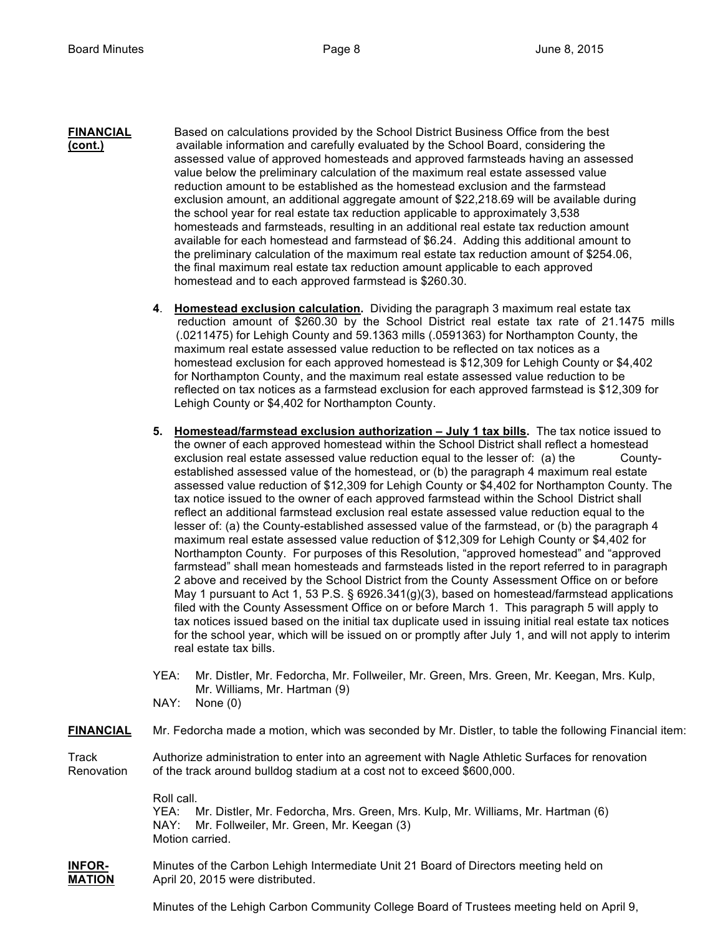- **FINANCIAL** Based on calculations provided by the School District Business Office from the best **(cont.)** available information and carefully evaluated by the School Board, considering the assessed value of approved homesteads and approved farmsteads having an assessed value below the preliminary calculation of the maximum real estate assessed value reduction amount to be established as the homestead exclusion and the farmstead exclusion amount, an additional aggregate amount of \$22,218.69 will be available during the school year for real estate tax reduction applicable to approximately 3,538 homesteads and farmsteads, resulting in an additional real estate tax reduction amount available for each homestead and farmstead of \$6.24. Adding this additional amount to the preliminary calculation of the maximum real estate tax reduction amount of \$254.06, the final maximum real estate tax reduction amount applicable to each approved homestead and to each approved farmstead is \$260.30.
	- **4**. **Homestead exclusion calculation.** Dividing the paragraph 3 maximum real estate tax reduction amount of \$260.30 by the School District real estate tax rate of 21.1475 mills (.0211475) for Lehigh County and 59.1363 mills (.0591363) for Northampton County, the maximum real estate assessed value reduction to be reflected on tax notices as a homestead exclusion for each approved homestead is \$12,309 for Lehigh County or \$4,402 for Northampton County, and the maximum real estate assessed value reduction to be reflected on tax notices as a farmstead exclusion for each approved farmstead is \$12,309 for Lehigh County or \$4,402 for Northampton County.
	- **5. Homestead/farmstead exclusion authorization July 1 tax bills.** The tax notice issued to the owner of each approved homestead within the School District shall reflect a homestead exclusion real estate assessed value reduction equal to the lesser of: (a) the Countyestablished assessed value of the homestead, or (b) the paragraph 4 maximum real estate assessed value reduction of \$12,309 for Lehigh County or \$4,402 for Northampton County. The tax notice issued to the owner of each approved farmstead within the School District shall reflect an additional farmstead exclusion real estate assessed value reduction equal to the lesser of: (a) the County-established assessed value of the farmstead, or (b) the paragraph 4 maximum real estate assessed value reduction of \$12,309 for Lehigh County or \$4,402 for Northampton County. For purposes of this Resolution, "approved homestead" and "approved farmstead" shall mean homesteads and farmsteads listed in the report referred to in paragraph 2 above and received by the School District from the County Assessment Office on or before May 1 pursuant to Act 1, 53 P.S. § 6926.341(g)(3), based on homestead/farmstead applications filed with the County Assessment Office on or before March 1. This paragraph 5 will apply to tax notices issued based on the initial tax duplicate used in issuing initial real estate tax notices for the school year, which will be issued on or promptly after July 1, and will not apply to interim real estate tax bills.
	- YEA: Mr. Distler, Mr. Fedorcha, Mr. Follweiler, Mr. Green, Mrs. Green, Mr. Keegan, Mrs. Kulp, Mr. Williams, Mr. Hartman (9)
	- NAY: None (0)

**FINANCIAL** Mr. Fedorcha made a motion, which was seconded by Mr. Distler, to table the following Financial item:

Track Authorize administration to enter into an agreement with Nagle Athletic Surfaces for renovation Renovation of the track around bulldog stadium at a cost not to exceed \$600,000.

> Roll call. YEA: Mr. Distler, Mr. Fedorcha, Mrs. Green, Mrs. Kulp, Mr. Williams, Mr. Hartman (6) NAY: Mr. Follweiler, Mr. Green, Mr. Keegan (3) Motion carried.

**INFOR-** Minutes of the Carbon Lehigh Intermediate Unit 21 Board of Directors meeting held on **MATION** April 20, 2015 were distributed.

Minutes of the Lehigh Carbon Community College Board of Trustees meeting held on April 9,